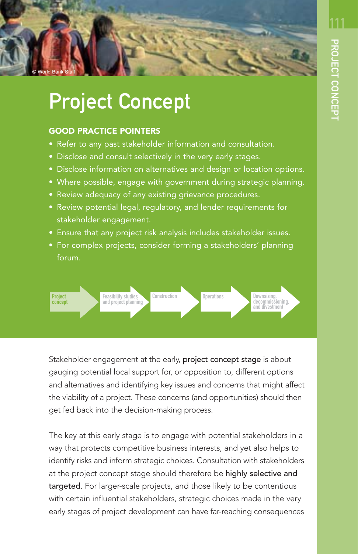111



# Project Concept

### GOOD PRACTICE POINTERS

- Refer to any past stakeholder information and consultation.
- Disclose and consult selectively in the very early stages.
- Disclose information on alternatives and design or location options.
- Where possible, engage with government during strategic planning.
- Review adequacy of any existing grievance procedures.
- Review potential legal, regulatory, and lender requirements for stakeholder engagement.
- Ensure that any project risk analysis includes stakeholder issues.
- For complex projects, consider forming a stakeholders' planning forum.



Stakeholder engagement at the early, project concept stage is about gauging potential local support for, or opposition to, different options and alternatives and identifying key issues and concerns that might affect the viability of a project. These concerns (and opportunities) should then get fed back into the decision-making process.

The key at this early stage is to engage with potential stakeholders in a way that protects competitive business interests, and yet also helps to identify risks and inform strategic choices. Consultation with stakeholders at the project concept stage should therefore be highly selective and targeted. For larger-scale projects, and those likely to be contentious with certain influential stakeholders, strategic choices made in the very early stages of project development can have far-reaching consequences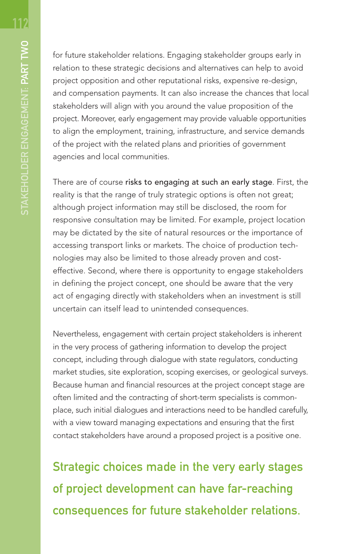for future stakeholder relations. Engaging stakeholder groups early in relation to these strategic decisions and alternatives can help to avoid project opposition and other reputational risks, expensive re-design, and compensation payments. It can also increase the chances that local stakeholders will align with you around the value proposition of the project. Moreover, early engagement may provide valuable opportunities to align the employment, training, infrastructure, and service demands of the project with the related plans and priorities of government agencies and local communities.

There are of course risks to engaging at such an early stage. First, the reality is that the range of truly strategic options is often not great; although project information may still be disclosed, the room for responsive consultation may be limited. For example, project location may be dictated by the site of natural resources or the importance of accessing transport links or markets. The choice of production technologies may also be limited to those already proven and costeffective. Second, where there is opportunity to engage stakeholders in defining the project concept, one should be aware that the very act of engaging directly with stakeholders when an investment is still uncertain can itself lead to unintended consequences.

Nevertheless, engagement with certain project stakeholders is inherent in the very process of gathering information to develop the project concept, including through dialogue with state regulators, conducting market studies, site exploration, scoping exercises, or geological surveys. Because human and financial resources at the project concept stage are often limited and the contracting of short-term specialists is commonplace, such initial dialogues and interactions need to be handled carefully, with a view toward managing expectations and ensuring that the first contact stakeholders have around a proposed project is a positive one.

Strategic choices made in the very early stages of project development can have far-reaching consequences for future stakeholder relations.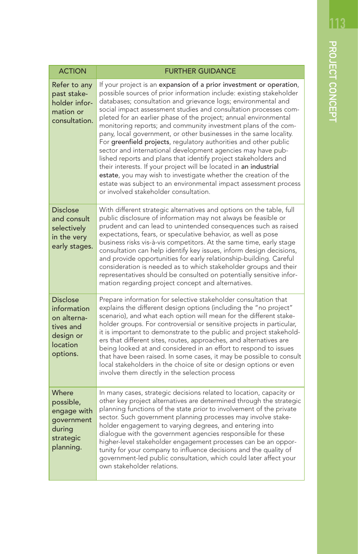| <b>ACTION</b>                                                                                   | <b>FURTHER GUIDANCE</b>                                                                                                                                                                                                                                                                                                                                                                                                                                                                                                                                                                                                                                                                                                                                                                                                                                                                                                                               |
|-------------------------------------------------------------------------------------------------|-------------------------------------------------------------------------------------------------------------------------------------------------------------------------------------------------------------------------------------------------------------------------------------------------------------------------------------------------------------------------------------------------------------------------------------------------------------------------------------------------------------------------------------------------------------------------------------------------------------------------------------------------------------------------------------------------------------------------------------------------------------------------------------------------------------------------------------------------------------------------------------------------------------------------------------------------------|
| Refer to any<br>past stake-<br>holder infor-<br>mation or<br>consultation.                      | If your project is an expansion of a prior investment or operation,<br>possible sources of prior information include: existing stakeholder<br>databases; consultation and grievance logs; environmental and<br>social impact assessment studies and consultation processes com-<br>pleted for an earlier phase of the project; annual environmental<br>monitoring reports; and community investment plans of the com-<br>pany, local government, or other businesses in the same locality.<br>For greenfield projects, regulatory authorities and other public<br>sector and international development agencies may have pub-<br>lished reports and plans that identify project stakeholders and<br>their interests. If your project will be located in an industrial<br>estate, you may wish to investigate whether the creation of the<br>estate was subject to an environmental impact assessment process<br>or involved stakeholder consultation. |
| <b>Disclose</b><br>and consult<br>selectively<br>in the very<br>early stages.                   | With different strategic alternatives and options on the table, full<br>public disclosure of information may not always be feasible or<br>prudent and can lead to unintended consequences such as raised<br>expectations, fears, or speculative behavior, as well as pose<br>business risks vis-à-vis competitors. At the same time, early stage<br>consultation can help identify key issues, inform design decisions,<br>and provide opportunities for early relationship-building. Careful<br>consideration is needed as to which stakeholder groups and their<br>representatives should be consulted on potentially sensitive infor-<br>mation regarding project concept and alternatives.                                                                                                                                                                                                                                                        |
| <b>Disclose</b><br>information<br>on alterna-<br>tives and<br>design or<br>location<br>options. | Prepare information for selective stakeholder consultation that<br>explains the different design options (including the "no project"<br>scenario), and what each option will mean for the different stake-<br>holder groups. For controversial or sensitive projects in particular,<br>it is important to demonstrate to the public and project stakehold-<br>ers that different sites, routes, approaches, and alternatives are<br>being looked at and considered in an effort to respond to issues<br>that have been raised. In some cases, it may be possible to consult<br>local stakeholders in the choice of site or design options or even<br>involve them directly in the selection process                                                                                                                                                                                                                                                   |
| Where<br>possible,<br>engage with<br>government<br>during<br>strategic<br>planning.             | In many cases, strategic decisions related to location, capacity or<br>other key project alternatives are determined through the strategic<br>planning functions of the state prior to involvement of the private<br>sector. Such government planning processes may involve stake-<br>holder engagement to varying degrees, and entering into<br>dialogue with the government agencies responsible for these<br>higher-level stakeholder engagement processes can be an oppor-<br>tunity for your company to influence decisions and the quality of<br>government-led public consultation, which could later affect your<br>own stakeholder relations.                                                                                                                                                                                                                                                                                                |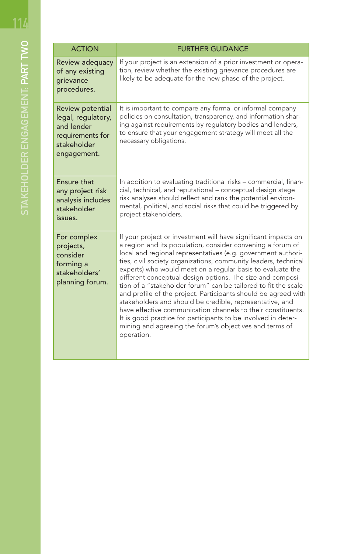| <b>ACTION</b>                                                                                          | <b>FURTHER GUIDANCE</b>                                                                                                                                                                                                                                                                                                                                                                                                                                                                                                                                                                                                                                                                                                                                                                               |
|--------------------------------------------------------------------------------------------------------|-------------------------------------------------------------------------------------------------------------------------------------------------------------------------------------------------------------------------------------------------------------------------------------------------------------------------------------------------------------------------------------------------------------------------------------------------------------------------------------------------------------------------------------------------------------------------------------------------------------------------------------------------------------------------------------------------------------------------------------------------------------------------------------------------------|
| Review adequacy<br>of any existing<br>grievance<br>procedures.                                         | If your project is an extension of a prior investment or opera-<br>tion, review whether the existing grievance procedures are<br>likely to be adequate for the new phase of the project.                                                                                                                                                                                                                                                                                                                                                                                                                                                                                                                                                                                                              |
| Review potential<br>legal, regulatory,<br>and lender<br>requirements for<br>stakeholder<br>engagement. | It is important to compare any formal or informal company<br>policies on consultation, transparency, and information shar-<br>ing against requirements by regulatory bodies and lenders,<br>to ensure that your engagement strategy will meet all the<br>necessary obligations.                                                                                                                                                                                                                                                                                                                                                                                                                                                                                                                       |
| <b>Ensure that</b><br>any project risk<br>analysis includes<br>stakeholder<br>issues.                  | In addition to evaluating traditional risks - commercial, finan-<br>cial, technical, and reputational - conceptual design stage<br>risk analyses should reflect and rank the potential environ-<br>mental, political, and social risks that could be triggered by<br>project stakeholders.                                                                                                                                                                                                                                                                                                                                                                                                                                                                                                            |
| For complex<br>projects,<br>consider<br>forming a<br>stakeholders'<br>planning forum.                  | If your project or investment will have significant impacts on<br>a region and its population, consider convening a forum of<br>local and regional representatives (e.g. government authori-<br>ties, civil society organizations, community leaders, technical<br>experts) who would meet on a regular basis to evaluate the<br>different conceptual design options. The size and composi-<br>tion of a "stakeholder forum" can be tailored to fit the scale<br>and profile of the project. Participants should be agreed with<br>stakeholders and should be credible, representative, and<br>have effective communication channels to their constituents.<br>It is good practice for participants to be involved in deter-<br>mining and agreeing the forum's objectives and terms of<br>operation. |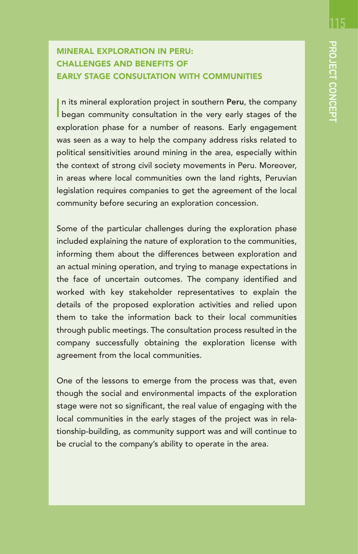<u> 115</u>

## MINERAL EXPLORATION IN PERU: CHALLENGES AND BENEFITS OF EARLY STAGE CONSULTATION WITH COMMUNITIES

In its mineral exploration project in southern Peru, the company<br>began community consultation in the very early stages of the n its mineral exploration project in southern Peru, the company exploration phase for a number of reasons. Early engagement was seen as a way to help the company address risks related to political sensitivities around mining in the area, especially within the context of strong civil society movements in Peru. Moreover, in areas where local communities own the land rights, Peruvian legislation requires companies to get the agreement of the local community before securing an exploration concession.

Some of the particular challenges during the exploration phase included explaining the nature of exploration to the communities, informing them about the differences between exploration and an actual mining operation, and trying to manage expectations in the face of uncertain outcomes. The company identified and worked with key stakeholder representatives to explain the details of the proposed exploration activities and relied upon them to take the information back to their local communities through public meetings. The consultation process resulted in the company successfully obtaining the exploration license with agreement from the local communities.

One of the lessons to emerge from the process was that, even though the social and environmental impacts of the exploration stage were not so significant, the real value of engaging with the local communities in the early stages of the project was in relationship-building, as community support was and will continue to be crucial to the company's ability to operate in the area.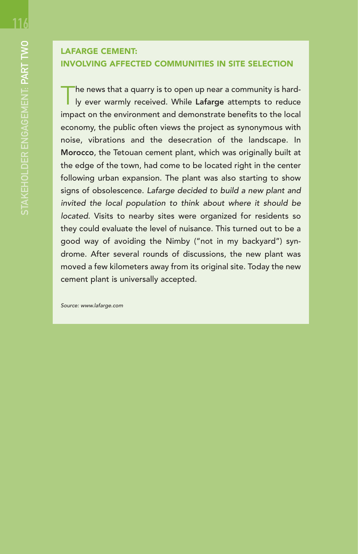## LAFARGE CEMENT: INVOLVING AFFECTED COMMUNITIES IN SITE SELECTION

he news that a quarry is to open up near a community is hardly ever warmly received. While Lafarge attempts to reduce impact on the environment and demonstrate benefits to the local economy, the public often views the project as synonymous with noise, vibrations and the desecration of the landscape. In Morocco, the Tetouan cement plant, which was originally built at the edge of the town, had come to be located right in the center following urban expansion. The plant was also starting to show signs of obsolescence. Lafarge decided to build a new plant and invited the local population to think about where it should be located. Visits to nearby sites were organized for residents so they could evaluate the level of nuisance. This turned out to be a good way of avoiding the Nimby ("not in my backyard") syndrome. After several rounds of discussions, the new plant was moved a few kilometers away from its original site. Today the new cement plant is universally accepted.

Source: www.lafarge.com